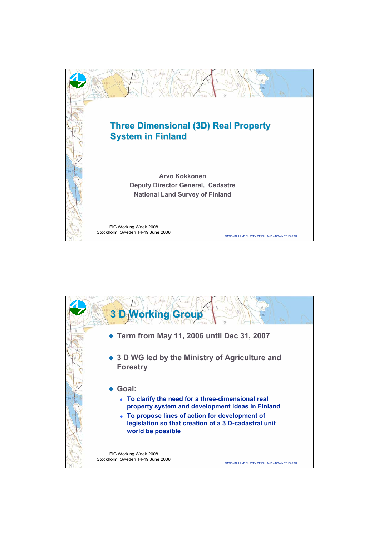

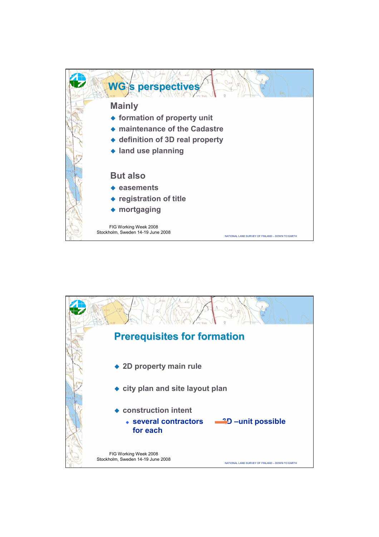

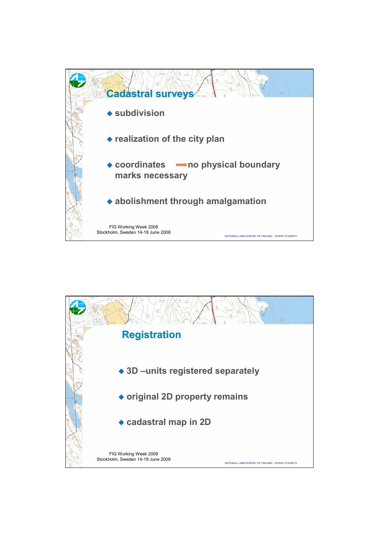

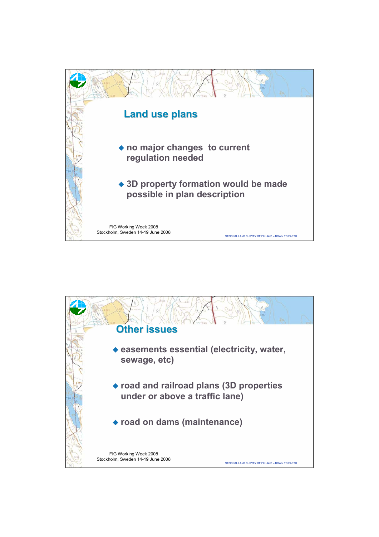